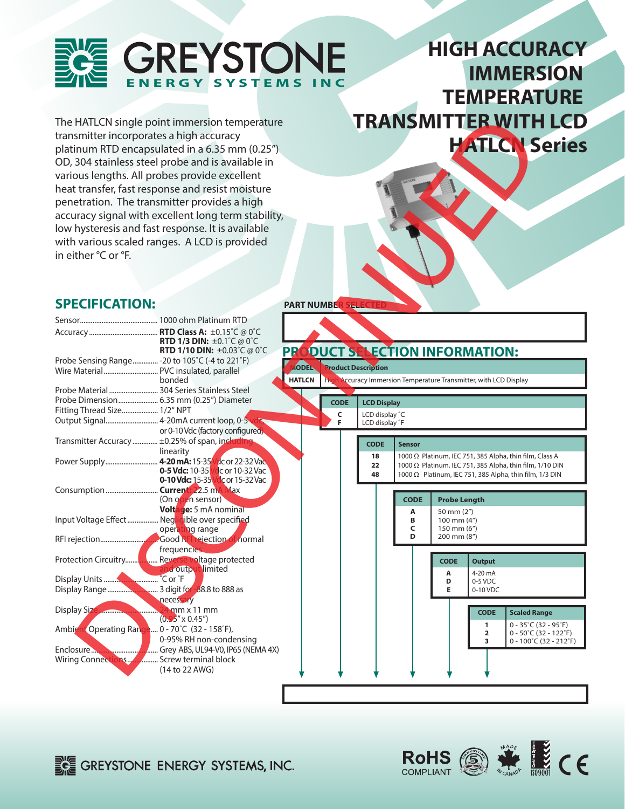

# **HIGH ACCURACY IMMERSION TEMPERATURE TRANSMITTER WITH LCD HATLCN Series**

## **SPECIFICATION:**

| in either °C or °F.             | The HATLCN single point immersion temperature<br>transmitter incorporates a high accuracy<br>platinum RTD encapsulated in a 6.35 mm (0.25")<br>OD, 304 stainless steel probe and is available in<br>various lengths. All probes provide excellent<br>heat transfer, fast response and resist moisture<br>penetration. The transmitter provides a high<br>accuracy signal with excellent long term stability,<br>low hysteresis and fast response. It is available<br>with various scaled ranges. A LCD is provided |                               |                                  | <b>TRANSMITTER WITH LCD</b><br><b>HATLON Series</b>                                                                                                                            |
|---------------------------------|--------------------------------------------------------------------------------------------------------------------------------------------------------------------------------------------------------------------------------------------------------------------------------------------------------------------------------------------------------------------------------------------------------------------------------------------------------------------------------------------------------------------|-------------------------------|----------------------------------|--------------------------------------------------------------------------------------------------------------------------------------------------------------------------------|
| <b>SPECIFICATION:</b>           |                                                                                                                                                                                                                                                                                                                                                                                                                                                                                                                    | PART NUMBE <mark>R</mark>     |                                  |                                                                                                                                                                                |
|                                 | <b>RTD 1/3 DIN: ±0.1°C @ 0°C</b><br><b>RTD 1/10 DIN:</b> $\pm 0.03^{\circ}$ C @ 0°C                                                                                                                                                                                                                                                                                                                                                                                                                                |                               |                                  | PRODUCT SELECTION INFORMATION:                                                                                                                                                 |
|                                 | Probe Sensing Range - 20 to 105°C (-4 to 221°F)<br>bonded                                                                                                                                                                                                                                                                                                                                                                                                                                                          | <b>AODEL</b><br><b>HATLCN</b> | <b>Product Description</b>       | High Accuracy Immersion Temperature Transmitter, with LCD Display                                                                                                              |
|                                 | Probe Material  304 Series Stainless Steel<br>Probe Dimension 6.35 mm (0.25") Diameter                                                                                                                                                                                                                                                                                                                                                                                                                             | <b>CODE</b>                   | <b>LCD Display</b>               |                                                                                                                                                                                |
| Fitting Thread Size 1/2" NPT    | Output Signal 4-20mA current loop, 0-5<br>or 0-10 Vdc (factory configured)                                                                                                                                                                                                                                                                                                                                                                                                                                         | C<br>F                        | LCD display °C<br>LCD display °F |                                                                                                                                                                                |
|                                 | Transmitter Accuracy  ±0.25% of span, including                                                                                                                                                                                                                                                                                                                                                                                                                                                                    |                               | <b>CODE</b>                      | <b>Sensor</b>                                                                                                                                                                  |
|                                 | linearity<br>Power Supply 4-20 mA: 15-35 Vac or 22-32 Vac<br>0-5 Vdc: 10-35 Vdc or 10-32 Vac<br>0-10 Vdc: 15-35 Vdc or 15-32 Vac                                                                                                                                                                                                                                                                                                                                                                                   |                               | 18<br>22<br>48                   | 1000 Ω Platinum, IEC 751, 385 Alpha, thin film, Class A<br>1000 Ω Platinum, IEC 751, 385 Alpha, thin film, 1/10 DIN<br>1000 Ω Platinum, IEC 751, 385 Alpha, thin film, 1/3 DIN |
|                                 | Consumption <b>Current:</b> 22.5 mA Max<br>(On open sensor)<br>Voltage: 5 mA nominal                                                                                                                                                                                                                                                                                                                                                                                                                               |                               |                                  | <b>CODE</b><br><b>Probe Length</b><br>Α<br>50 mm (2")                                                                                                                          |
|                                 | Input Voltage Effect  Negligible over specified<br>operating range                                                                                                                                                                                                                                                                                                                                                                                                                                                 |                               |                                  | 100 mm (4")<br>В<br>150 mm (6")<br>C<br>200 mm (8")<br>D                                                                                                                       |
|                                 | Good RFI rejection of normal<br>frequencies.                                                                                                                                                                                                                                                                                                                                                                                                                                                                       |                               |                                  |                                                                                                                                                                                |
| Protection Circuitry            | Reverse voltage protected<br>and output limited                                                                                                                                                                                                                                                                                                                                                                                                                                                                    |                               |                                  | <b>CODE</b><br><b>Output</b><br>A<br>4-20 mA                                                                                                                                   |
|                                 | <b>Nummin</b> Cor <sup>°</sup> F<br>necessary                                                                                                                                                                                                                                                                                                                                                                                                                                                                      |                               |                                  | D<br>0-5 VDC<br>E<br>0-10 VDC                                                                                                                                                  |
| Display Size                    | $24$ mm x 11 mm<br>.                                                                                                                                                                                                                                                                                                                                                                                                                                                                                               |                               |                                  | <b>CODE</b><br><b>Scaled Range</b>                                                                                                                                             |
|                                 | $(0.95'' \times 0.45'')$<br>Ambient Operating Range 0 - 70°C (32 - 158°F),<br>0-95% RH non-condensing                                                                                                                                                                                                                                                                                                                                                                                                              |                               |                                  | $0 - 35^{\circ}$ C (32 - 95 $^{\circ}$ F)<br>1<br>$0 - 50^{\circ}$ C (32 - 122 $^{\circ}$ F)<br>2<br>3<br>$0 - 100^{\circ}$ C (32 - 212 $^{\circ}$ F)                          |
| Enclosure<br>Wiring Connections | Grey ABS, UL94-V0, IP65 (NEMA 4X)<br>Screw terminal block<br>(14 to 22 AWG)                                                                                                                                                                                                                                                                                                                                                                                                                                        |                               |                                  |                                                                                                                                                                                |
|                                 |                                                                                                                                                                                                                                                                                                                                                                                                                                                                                                                    |                               |                                  |                                                                                                                                                                                |